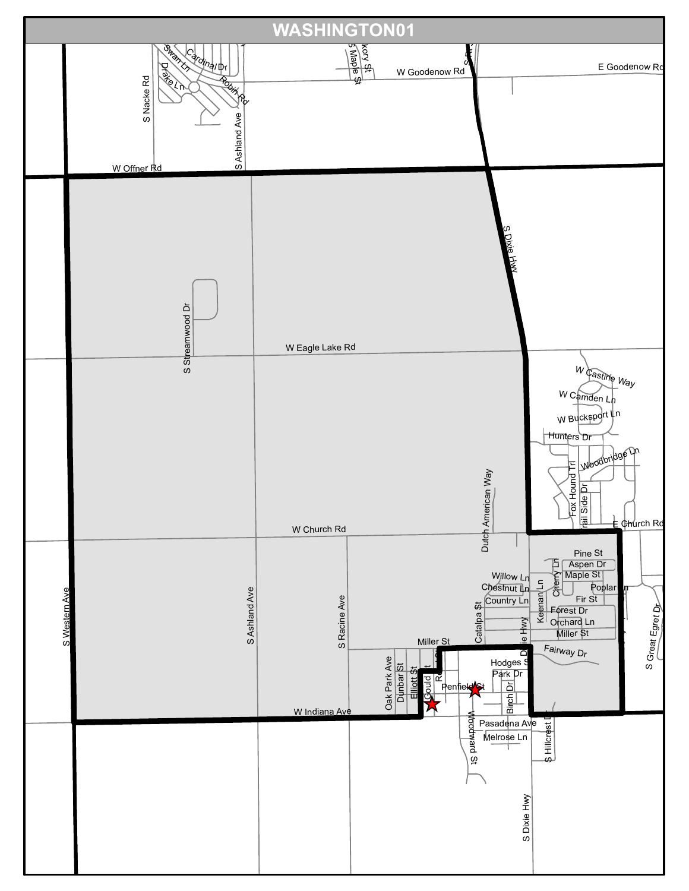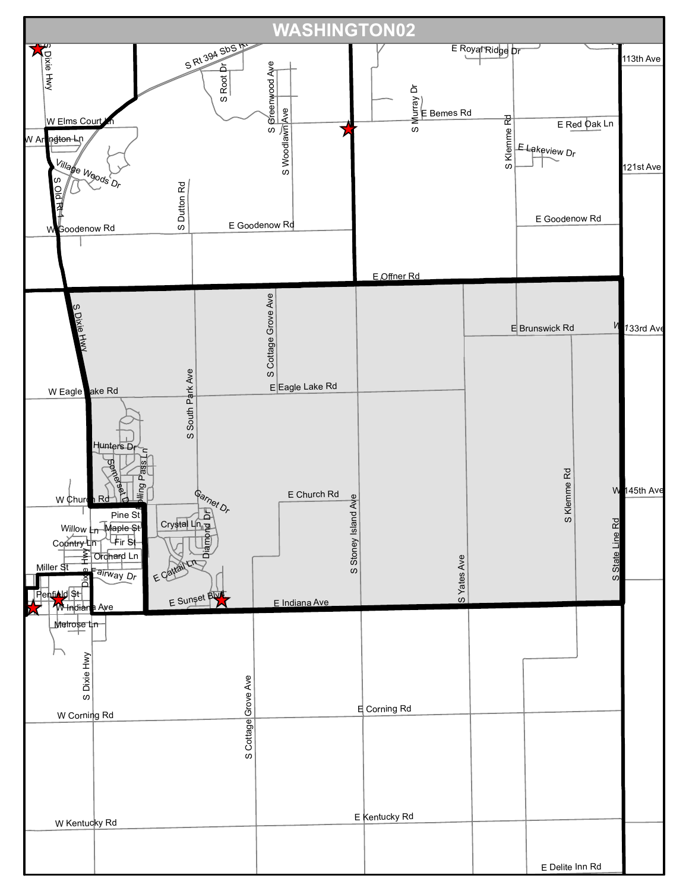